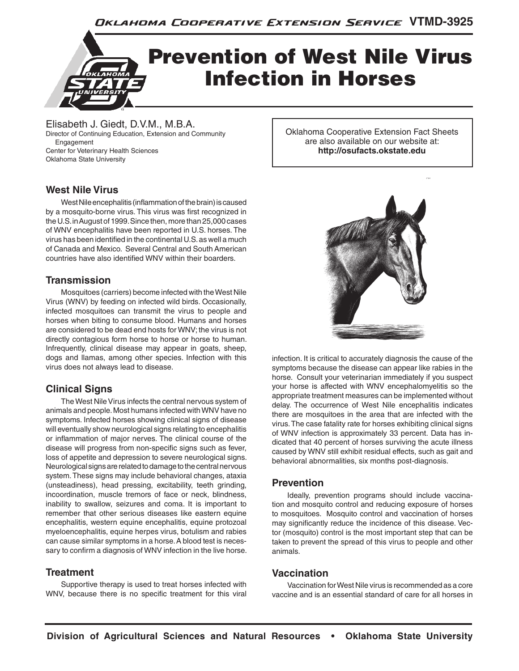

Elisabeth J. Giedt, D.V.M., M.B.A. Director of Continuing Education, Extension and Community Engagement Center for Veterinary Health Sciences Oklahoma State University

## **West Nile Virus**

West Nile encephalitis (inflammation of the brain) is caused by a mosquito-borne virus. This virus was first recognized in the U.S. in August of 1999. Since then, more than 25,000 cases of WNV encephalitis have been reported in U.S. horses. The virus has been identified in the continental U.S. as well a much of Canada and Mexico. Several Central and South American countries have also identified WNV within their boarders.

### **Transmission**

Mosquitoes (carriers) become infected with the West Nile Virus (WNV) by feeding on infected wild birds. Occasionally, infected mosquitoes can transmit the virus to people and horses when biting to consume blood. Humans and horses are considered to be dead end hosts for WNV; the virus is not directly contagious form horse to horse or horse to human. Infrequently, clinical disease may appear in goats, sheep, dogs and llamas, among other species. Infection with this virus does not always lead to disease.

# **Clinical Signs**

The West Nile Virus infects the central nervous system of animals and people. Most humans infected with WNV have no symptoms. Infected horses showing clinical signs of disease will eventually show neurological signs relating to encephalitis or inflammation of major nerves. The clinical course of the disease will progress from non-specific signs such as fever, loss of appetite and depression to severe neurological signs. Neurological signs are related to damage to the central nervous system. These signs may include behavioral changes, ataxia (unsteadiness), head pressing, excitability, teeth grinding, incoordination, muscle tremors of face or neck, blindness, inability to swallow, seizures and coma. It is important to remember that other serious diseases like eastern equine encephalitis, western equine encephalitis, equine protozoal myeloencephalitis, equine herpes virus, botulism and rabies can cause similar symptoms in a horse. A blood test is necessary to confirm a diagnosis of WNV infection in the live horse.

### **Treatment**

Supportive therapy is used to treat horses infected with WNV, because there is no specific treatment for this viral Oklahoma Cooperative Extension Fact Sheets are also available on our website at: **http://osufacts.okstate.edu**



infection. It is critical to accurately diagnosis the cause of the symptoms because the disease can appear like rabies in the horse. Consult your veterinarian immediately if you suspect your horse is affected with WNV encephalomyelitis so the appropriate treatment measures can be implemented without delay. The occurrence of West Nile encephalitis indicates there are mosquitoes in the area that are infected with the virus. The case fatality rate for horses exhibiting clinical signs of WNV infection is approximately 33 percent. Data has indicated that 40 percent of horses surviving the acute illness caused by WNV still exhibit residual effects, such as gait and behavioral abnormalities, six months post-diagnosis.

### **Prevention**

Ideally, prevention programs should include vaccination and mosquito control and reducing exposure of horses to mosquitoes. Mosquito control and vaccination of horses may significantly reduce the incidence of this disease. Vector (mosquito) control is the most important step that can be taken to prevent the spread of this virus to people and other animals.

### **Vaccination**

Vaccination for West Nile virus is recommended as a core vaccine and is an essential standard of care for all horses in